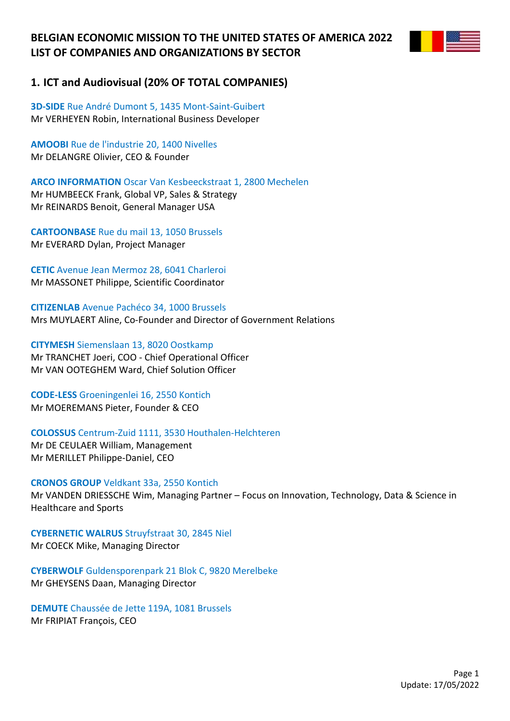

## **1. ICT and Audiovisual (20% OF TOTAL COMPANIES)**

**3D-SIDE** Rue André Dumont 5, 1435 Mont-Saint-Guibert Mr VERHEYEN Robin, International Business Developer

**AMOOBI** Rue de l'industrie 20, 1400 Nivelles Mr DELANGRE Olivier, CEO & Founder

**ARCO INFORMATION** Oscar Van Kesbeeckstraat 1, 2800 Mechelen Mr HUMBEECK Frank, Global VP, Sales & Strategy Mr REINARDS Benoit, General Manager USA

**CARTOONBASE** Rue du mail 13, 1050 Brussels Mr EVERARD Dylan, Project Manager

**CETIC** Avenue Jean Mermoz 28, 6041 Charleroi Mr MASSONET Philippe, Scientific Coordinator

**CITIZENLAB** Avenue Pachéco 34, 1000 Brussels Mrs MUYLAERT Aline, Co-Founder and Director of Government Relations

**CITYMESH** Siemenslaan 13, 8020 Oostkamp Mr TRANCHET Joeri, COO - Chief Operational Officer Mr VAN OOTEGHEM Ward, Chief Solution Officer

**CODE-LESS** Groeningenlei 16, 2550 Kontich Mr MOEREMANS Pieter, Founder & CEO

**COLOSSUS** Centrum-Zuid 1111, 3530 Houthalen-Helchteren Mr DE CEULAER William, Management Mr MERILLET Philippe-Daniel, CEO

### **CRONOS GROUP** Veldkant 33a, 2550 Kontich

Mr VANDEN DRIESSCHE Wim, Managing Partner – Focus on Innovation, Technology, Data & Science in Healthcare and Sports

**CYBERNETIC WALRUS** Struyfstraat 30, 2845 Niel Mr COECK Mike, Managing Director

**CYBERWOLF** Guldensporenpark 21 Blok C, 9820 Merelbeke Mr GHEYSENS Daan, Managing Director

**DEMUTE** Chaussée de Jette 119A, 1081 Brussels Mr FRIPIAT François, CEO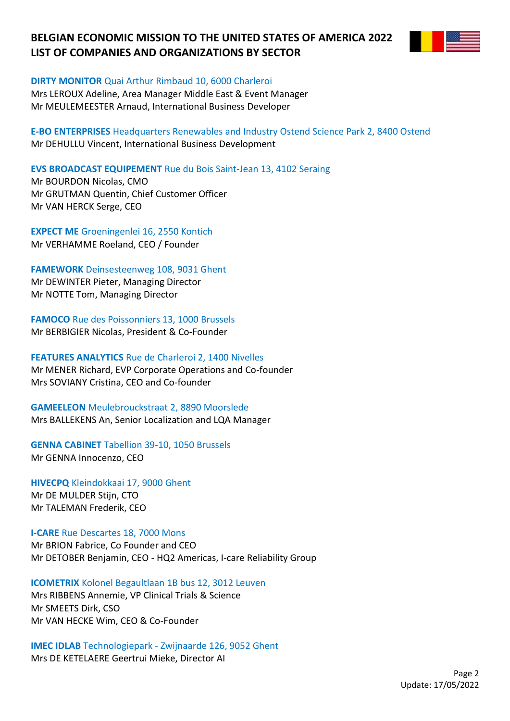

**DIRTY MONITOR** Quai Arthur Rimbaud 10, 6000 Charleroi

Mrs LEROUX Adeline, Area Manager Middle East & Event Manager Mr MEULEMEESTER Arnaud, International Business Developer

**E-BO ENTERPRISES** Headquarters Renewables and Industry Ostend Science Park 2, 8400 Ostend Mr DEHULLU Vincent, International Business Development

**EVS BROADCAST EQUIPEMENT** Rue du Bois Saint-Jean 13, 4102 Seraing

Mr BOURDON Nicolas, CMO Mr GRUTMAN Quentin, Chief Customer Officer Mr VAN HERCK Serge, CEO

**EXPECT ME** Groeningenlei 16, 2550 Kontich Mr VERHAMME Roeland, CEO / Founder

**FAMEWORK** Deinsesteenweg 108, 9031 Ghent Mr DEWINTER Pieter, Managing Director Mr NOTTE Tom, Managing Director

**FAMOCO** Rue des Poissonniers 13, 1000 Brussels Mr BERBIGIER Nicolas, President & Co-Founder

**FEATURES ANALYTICS** Rue de Charleroi 2, 1400 Nivelles Mr MENER Richard, EVP Corporate Operations and Co-founder Mrs SOVIANY Cristina, CEO and Co-founder

**GAMEELEON** Meulebrouckstraat 2, 8890 Moorslede Mrs BALLEKENS An, Senior Localization and LQA Manager

**GENNA CABINET** Tabellion 39-10, 1050 Brussels

Mr GENNA Innocenzo, CEO

**HIVECPQ** Kleindokkaai 17, 9000 Ghent

Mr DE MULDER Stijn, CTO Mr TALEMAN Frederik, CEO

**I-CARE** Rue Descartes 18, 7000 Mons Mr BRION Fabrice, Co Founder and CEO Mr DETOBER Benjamin, CEO - HQ2 Americas, I-care Reliability Group

**ICOMETRIX** Kolonel Begaultlaan 1B bus 12, 3012 Leuven Mrs RIBBENS Annemie, VP Clinical Trials & Science Mr SMEETS Dirk, CSO

Mr VAN HECKE Wim, CEO & Co-Founder

**IMEC IDLAB** Technologiepark - Zwijnaarde 126, 9052 Ghent Mrs DE KETELAERE Geertrui Mieke, Director AI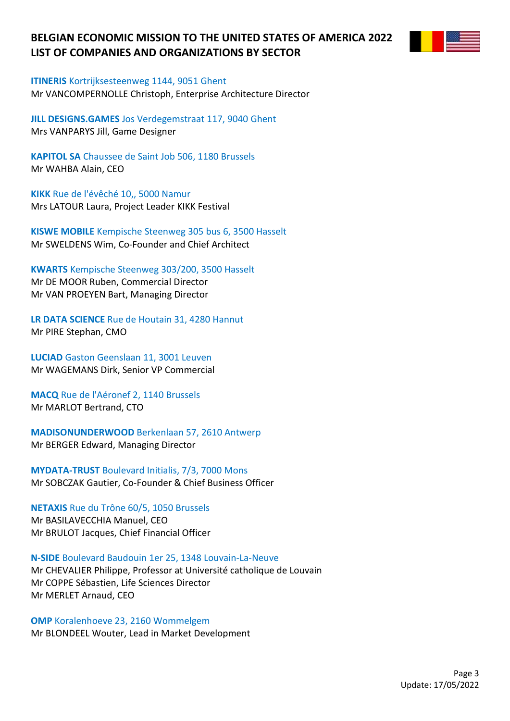

**ITINERIS** Kortrijksesteenweg 1144, 9051 Ghent Mr VANCOMPERNOLLE Christoph, Enterprise Architecture Director

**JILL DESIGNS.GAMES** Jos Verdegemstraat 117, 9040 Ghent Mrs VANPARYS Jill, Game Designer

**KAPITOL SA** Chaussee de Saint Job 506, 1180 Brussels Mr WAHBA Alain, CEO

**KIKK** Rue de l'évêché 10,, 5000 Namur Mrs LATOUR Laura, Project Leader KIKK Festival

**KISWE MOBILE** Kempische Steenweg 305 bus 6, 3500 Hasselt Mr SWELDENS Wim, Co-Founder and Chief Architect

**KWARTS** Kempische Steenweg 303/200, 3500 Hasselt Mr DE MOOR Ruben, Commercial Director Mr VAN PROEYEN Bart, Managing Director

**LR DATA SCIENCE** Rue de Houtain 31, 4280 Hannut Mr PIRE Stephan, CMO

**LUCIAD** Gaston Geenslaan 11, 3001 Leuven Mr WAGEMANS Dirk, Senior VP Commercial

**MACQ** Rue de l'Aéronef 2, 1140 Brussels Mr MARLOT Bertrand, CTO

**MADISONUNDERWOOD** Berkenlaan 57, 2610 Antwerp Mr BERGER Edward, Managing Director

**MYDATA-TRUST** Boulevard Initialis, 7/3, 7000 Mons Mr SOBCZAK Gautier, Co-Founder & Chief Business Officer

**NETAXIS** Rue du Trône 60/5, 1050 Brussels Mr BASILAVECCHIA Manuel, CEO Mr BRULOT Jacques, Chief Financial Officer

**N-SIDE** Boulevard Baudouin 1er 25, 1348 Louvain-La-Neuve Mr CHEVALIER Philippe, Professor at Université catholique de Louvain Mr COPPE Sébastien, Life Sciences Director Mr MERLET Arnaud, CEO

**OMP** Koralenhoeve 23, 2160 Wommelgem Mr BLONDEEL Wouter, Lead in Market Development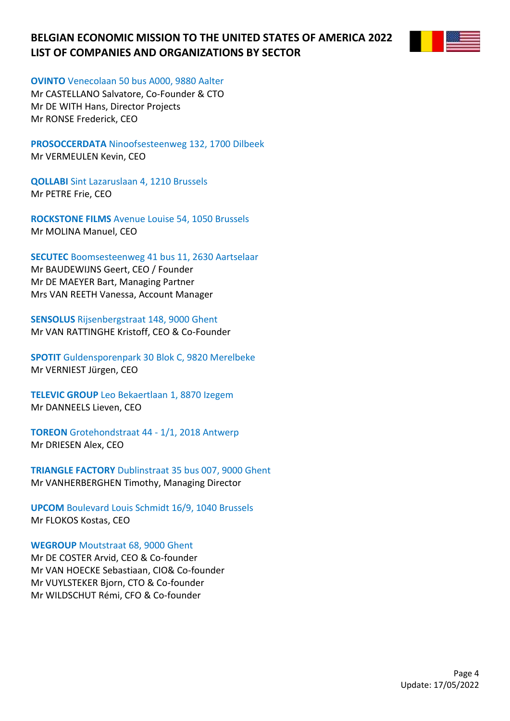

**OVINTO** Venecolaan 50 bus A000, 9880 Aalter

Mr CASTELLANO Salvatore, Co-Founder & CTO Mr DE WITH Hans, Director Projects Mr RONSE Frederick, CEO

**PROSOCCERDATA** Ninoofsesteenweg 132, 1700 Dilbeek Mr VERMEULEN Kevin, CEO

**QOLLABI** Sint Lazaruslaan 4, 1210 Brussels Mr PETRE Frie, CEO

**ROCKSTONE FILMS** Avenue Louise 54, 1050 Brussels Mr MOLINA Manuel, CEO

**SECUTEC** Boomsesteenweg 41 bus 11, 2630 Aartselaar

Mr BAUDEWIJNS Geert, CEO / Founder Mr DE MAEYER Bart, Managing Partner Mrs VAN REETH Vanessa, Account Manager

**SENSOLUS** Rijsenbergstraat 148, 9000 Ghent Mr VAN RATTINGHE Kristoff, CEO & Co-Founder

**SPOTIT** Guldensporenpark 30 Blok C, 9820 Merelbeke Mr VERNIEST Jürgen, CEO

**TELEVIC GROUP** Leo Bekaertlaan 1, 8870 Izegem Mr DANNEELS Lieven, CEO

**TOREON** Grotehondstraat 44 - 1/1, 2018 Antwerp Mr DRIESEN Alex, CEO

**TRIANGLE FACTORY** Dublinstraat 35 bus 007, 9000 Ghent Mr VANHERBERGHEN Timothy, Managing Director

**UPCOM** Boulevard Louis Schmidt 16/9, 1040 Brussels Mr FLOKOS Kostas, CEO

**WEGROUP** Moutstraat 68, 9000 Ghent

Mr DE COSTER Arvid, CEO & Co-founder Mr VAN HOECKE Sebastiaan, CIO& Co-founder Mr VUYLSTEKER Bjorn, CTO & Co-founder Mr WILDSCHUT Rémi, CFO & Co-founder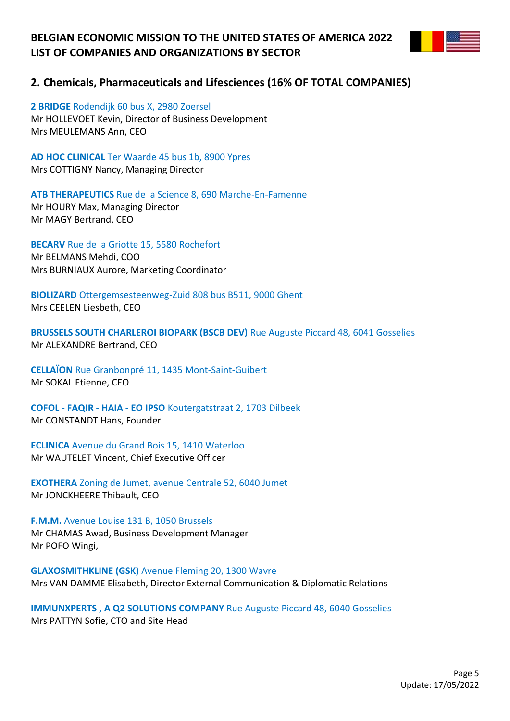

## **2. Chemicals, Pharmaceuticals and Lifesciences (16% OF TOTAL COMPANIES)**

**2 BRIDGE** Rodendijk 60 bus X, 2980 Zoersel Mr HOLLEVOET Kevin, Director of Business Development Mrs MEULEMANS Ann, CEO

**AD HOC CLINICAL** Ter Waarde 45 bus 1b, 8900 Ypres Mrs COTTIGNY Nancy, Managing Director

**ATB THERAPEUTICS** Rue de la Science 8, 690 Marche-En-Famenne Mr HOURY Max, Managing Director Mr MAGY Bertrand, CEO

**BECARV** Rue de la Griotte 15, 5580 Rochefort Mr BELMANS Mehdi, COO Mrs BURNIAUX Aurore, Marketing Coordinator

**BIOLIZARD** Ottergemsesteenweg-Zuid 808 bus B511, 9000 Ghent Mrs CEELEN Liesbeth, CEO

**BRUSSELS SOUTH CHARLEROI BIOPARK (BSCB DEV)** Rue Auguste Piccard 48, 6041 Gosselies Mr ALEXANDRE Bertrand, CEO

**CELLAÏON** Rue Granbonpré 11, 1435 Mont-Saint-Guibert Mr SOKAL Etienne, CEO

**COFOL - FAQIR - HAIA - EO IPSO** Koutergatstraat 2, 1703 Dilbeek Mr CONSTANDT Hans, Founder

**ECLINICA** Avenue du Grand Bois 15, 1410 Waterloo Mr WAUTELET Vincent, Chief Executive Officer

**EXOTHERA** Zoning de Jumet, avenue Centrale 52, 6040 Jumet Mr JONCKHEERE Thibault, CEO

**F.M.M.** Avenue Louise 131 B, 1050 Brussels Mr CHAMAS Awad, Business Development Manager Mr POFO Wingi,

**GLAXOSMITHKLINE (GSK)** Avenue Fleming 20, 1300 Wavre Mrs VAN DAMME Elisabeth, Director External Communication & Diplomatic Relations

**IMMUNXPERTS , A Q2 SOLUTIONS COMPANY** Rue Auguste Piccard 48, 6040 Gosselies Mrs PATTYN Sofie, CTO and Site Head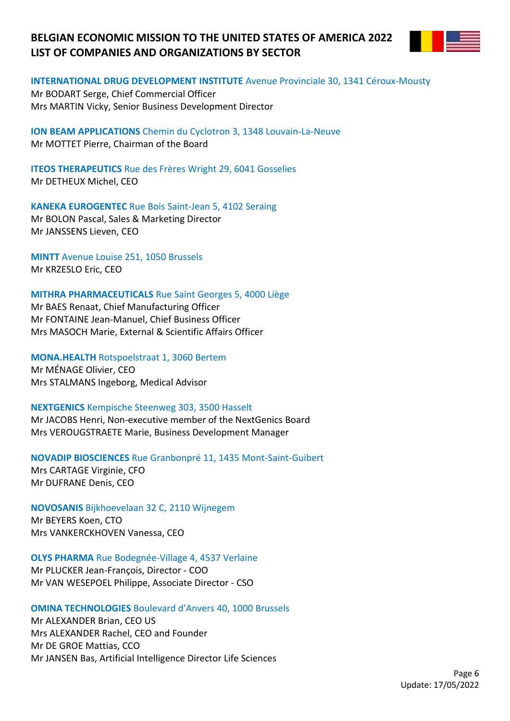

#### **INTERNATIONAL DRUG DEVELOPMENT INSTITUTE** Avenue Provinciale 30, 1341 Céroux-Mousty

Mr BODART Serge, Chief Commercial Officer Mrs MARTIN Vicky, Senior Business Development Director

**ION BEAM APPLICATIONS** Chemin du Cyclotron 3, 1348 Louvain-La-Neuve Mr MOTTET Pierre, Chairman of the Board

**ITEOS THERAPEUTICS** Rue des Frères Wright 29, 6041 Gosselies Mr DETHEUX Michel, CEO

**KANEKA EUROGENTEC** Rue Bois Saint-Jean 5, 4102 Seraing Mr BOLON Pascal, Sales & Marketing Director Mr JANSSENS Lieven, CEO

**MINTT** Avenue Louise 251, 1050 Brussels Mr KRZESLO Eric, CEO

**MITHRA PHARMACEUTICALS** Rue Saint Georges 5, 4000 Liège

Mr BAES Renaat, Chief Manufacturing Officer Mr FONTAINE Jean-Manuel, Chief Business Officer Mrs MASOCH Marie, External & Scientific Affairs Officer

**MONA.HEALTH** Rotspoelstraat 1, 3060 Bertem Mr MÉNAGE Olivier, CEO Mrs STALMANS Ingeborg, Medical Advisor

### **NEXTGENICS** Kempische Steenweg 303, 3500 Hasselt

Mr JACOBS Henri, Non-executive member of the NextGenics Board Mrs VEROUGSTRAETE Marie, Business Development Manager

**NOVADIP BIOSCIENCES** Rue Granbonpré 11, 1435 Mont-Saint-Guibert

Mrs CARTAGE Virginie, CFO Mr DUFRANE Denis, CEO

### **NOVOSANIS** Bijkhoevelaan 32 C, 2110 Wijnegem

Mr BEYERS Koen, CTO Mrs VANKERCKHOVEN Vanessa, CEO

### **OLYS PHARMA** Rue Bodegnée-Village 4, 4537 Verlaine

Mr PLUCKER Jean-François, Director - COO Mr VAN WESEPOEL Philippe, Associate Director - CSO

### **OMINA TECHNOLOGIES** Boulevard d'Anvers 40, 1000 Brussels

Mr ALEXANDER Brian, CEO US Mrs ALEXANDER Rachel, CEO and Founder Mr DE GROE Mattias, CCO Mr JANSEN Bas, Artificial Intelligence Director Life Sciences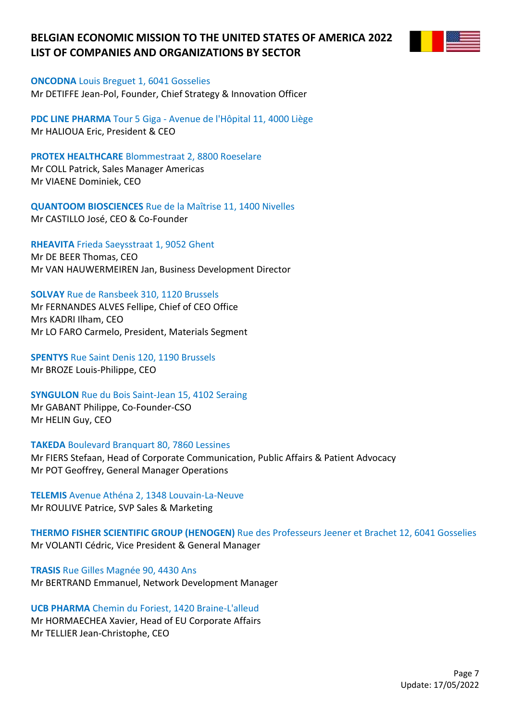

**ONCODNA** Louis Breguet 1, 6041 Gosselies Mr DETIFFE Jean-Pol, Founder, Chief Strategy & Innovation Officer

**PDC LINE PHARMA** Tour 5 Giga - Avenue de l'Hôpital 11, 4000 Liège Mr HALIOUA Eric, President & CEO

**PROTEX HEALTHCARE** Blommestraat 2, 8800 Roeselare Mr COLL Patrick, Sales Manager Americas Mr VIAENE Dominiek, CEO

**QUANTOOM BIOSCIENCES** Rue de la Maîtrise 11, 1400 Nivelles Mr CASTILLO José, CEO & Co-Founder

**RHEAVITA** Frieda Saeysstraat 1, 9052 Ghent

Mr DE BEER Thomas, CEO Mr VAN HAUWERMEIREN Jan, Business Development Director

**SOLVAY** Rue de Ransbeek 310, 1120 Brussels

Mr FERNANDES ALVES Fellipe, Chief of CEO Office Mrs KADRI Ilham, CEO Mr LO FARO Carmelo, President, Materials Segment

**SPENTYS** Rue Saint Denis 120, 1190 Brussels Mr BROZE Louis-Philippe, CEO

**SYNGULON** Rue du Bois Saint-Jean 15, 4102 Seraing Mr GABANT Philippe, Co-Founder-CSO

Mr HELIN Guy, CEO

**TAKEDA** Boulevard Branquart 80, 7860 Lessines

Mr FIERS Stefaan, Head of Corporate Communication, Public Affairs & Patient Advocacy Mr POT Geoffrey, General Manager Operations

**TELEMIS** Avenue Athéna 2, 1348 Louvain-La-Neuve Mr ROULIVE Patrice, SVP Sales & Marketing

**THERMO FISHER SCIENTIFIC GROUP (HENOGEN)** Rue des Professeurs Jeener et Brachet 12, 6041 Gosselies Mr VOLANTI Cédric, Vice President & General Manager

**TRASIS** Rue Gilles Magnée 90, 4430 Ans Mr BERTRAND Emmanuel, Network Development Manager

**UCB PHARMA** Chemin du Foriest, 1420 Braine-L'alleud Mr HORMAECHEA Xavier, Head of EU Corporate Affairs Mr TELLIER Jean-Christophe, CEO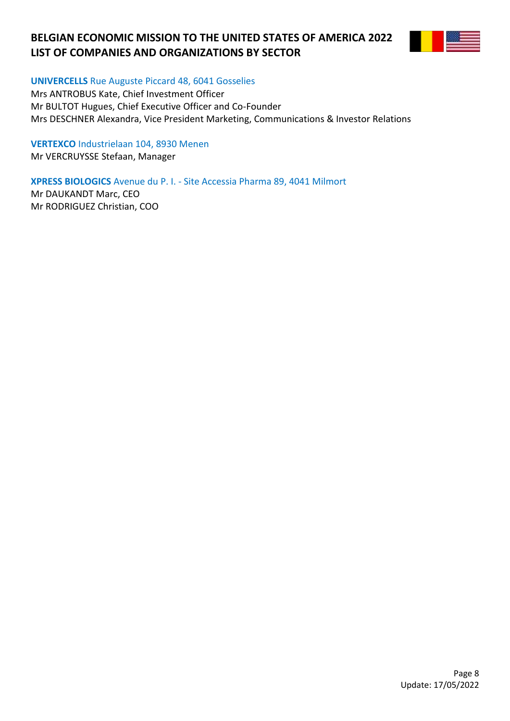

**UNIVERCELLS** Rue Auguste Piccard 48, 6041 Gosselies

Mrs ANTROBUS Kate, Chief Investment Officer Mr BULTOT Hugues, Chief Executive Officer and Co-Founder Mrs DESCHNER Alexandra, Vice President Marketing, Communications & Investor Relations

**VERTEXCO** Industrielaan 104, 8930 Menen

Mr VERCRUYSSE Stefaan, Manager

**XPRESS BIOLOGICS** Avenue du P. I. - Site Accessia Pharma 89, 4041 Milmort

Mr DAUKANDT Marc, CEO Mr RODRIGUEZ Christian, COO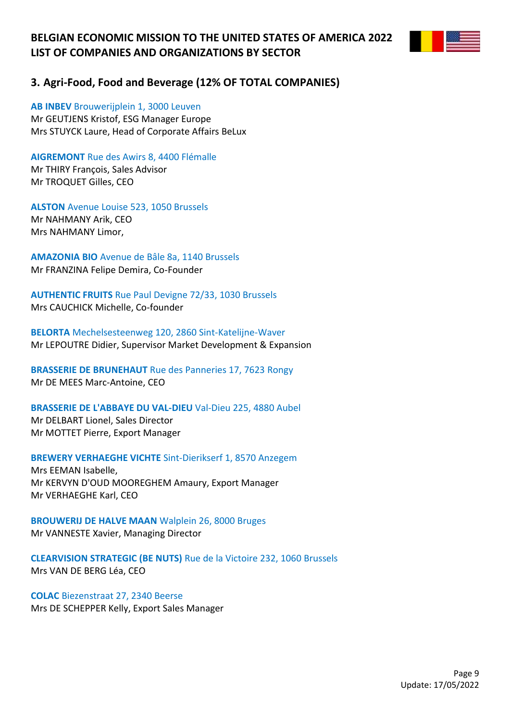

## **3. Agri-Food, Food and Beverage (12% OF TOTAL COMPANIES)**

**AB INBEV** Brouwerijplein 1, 3000 Leuven

Mr GEUTJENS Kristof, ESG Manager Europe Mrs STUYCK Laure, Head of Corporate Affairs BeLux

**AIGREMONT** Rue des Awirs 8, 4400 Flémalle

Mr THIRY François, Sales Advisor Mr TROQUET Gilles, CEO

**ALSTON** Avenue Louise 523, 1050 Brussels Mr NAHMANY Arik, CEO Mrs NAHMANY Limor,

**AMAZONIA BIO** Avenue de Bâle 8a, 1140 Brussels Mr FRANZINA Felipe Demira, Co-Founder

**AUTHENTIC FRUITS** Rue Paul Devigne 72/33, 1030 Brussels Mrs CAUCHICK Michelle, Co-founder

**BELORTA** Mechelsesteenweg 120, 2860 Sint-Katelijne-Waver Mr LEPOUTRE Didier, Supervisor Market Development & Expansion

**BRASSERIE DE BRUNEHAUT** Rue des Panneries 17, 7623 Rongy Mr DE MEES Marc-Antoine, CEO

**BRASSERIE DE L'ABBAYE DU VAL-DIEU** Val-Dieu 225, 4880 Aubel Mr DELBART Lionel, Sales Director Mr MOTTET Pierre, Export Manager

**BREWERY VERHAEGHE VICHTE** Sint-Dierikserf 1, 8570 Anzegem

Mrs EEMAN Isabelle, Mr KERVYN D'OUD MOOREGHEM Amaury, Export Manager Mr VERHAEGHE Karl, CEO

**BROUWERIJ DE HALVE MAAN** Walplein 26, 8000 Bruges Mr VANNESTE Xavier, Managing Director

**CLEARVISION STRATEGIC (BE NUTS)** Rue de la Victoire 232, 1060 Brussels Mrs VAN DE BERG Léa, CEO

**COLAC** Biezenstraat 27, 2340 Beerse Mrs DE SCHEPPER Kelly, Export Sales Manager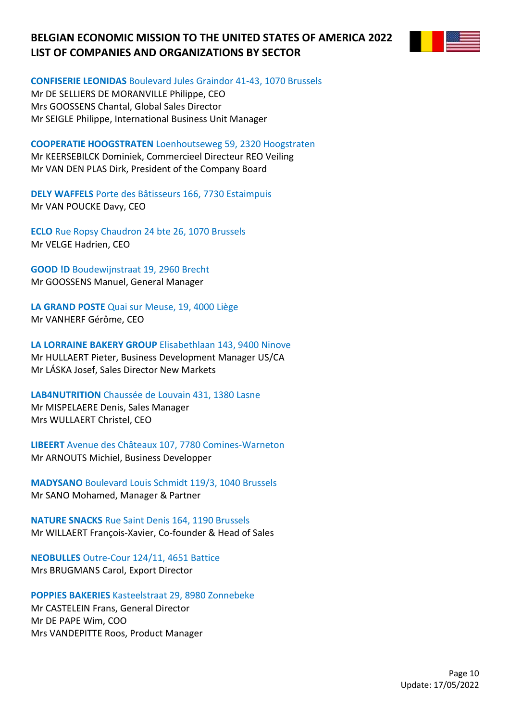

**CONFISERIE LEONIDAS** Boulevard Jules Graindor 41-43, 1070 Brussels

Mr DE SELLIERS DE MORANVILLE Philippe, CEO Mrs GOOSSENS Chantal, Global Sales Director Mr SEIGLE Philippe, International Business Unit Manager

**COOPERATIE HOOGSTRATEN** Loenhoutseweg 59, 2320 Hoogstraten

Mr KEERSEBILCK Dominiek, Commercieel Directeur REO Veiling Mr VAN DEN PLAS Dirk, President of the Company Board

**DELY WAFFELS** Porte des Bâtisseurs 166, 7730 Estaimpuis Mr VAN POUCKE Davy, CEO

**ECLO** Rue Ropsy Chaudron 24 bte 26, 1070 Brussels Mr VELGE Hadrien, CEO

**GOOD !D** Boudewijnstraat 19, 2960 Brecht Mr GOOSSENS Manuel, General Manager

**LA GRAND POSTE** Quai sur Meuse, 19, 4000 Liège Mr VANHERF Gérôme, CEO

**LA LORRAINE BAKERY GROUP** Elisabethlaan 143, 9400 Ninove Mr HULLAERT Pieter, Business Development Manager US/CA Mr LÁSKA Josef, Sales Director New Markets

**LAB4NUTRITION** Chaussée de Louvain 431, 1380 Lasne

Mr MISPELAERE Denis, Sales Manager Mrs WULLAERT Christel, CEO

**LIBEERT** Avenue des Châteaux 107, 7780 Comines-Warneton Mr ARNOUTS Michiel, Business Developper

**MADYSANO** Boulevard Louis Schmidt 119/3, 1040 Brussels Mr SANO Mohamed, Manager & Partner

**NATURE SNACKS** Rue Saint Denis 164, 1190 Brussels Mr WILLAERT François-Xavier, Co-founder & Head of Sales

**NEOBULLES** Outre-Cour 124/11, 4651 Battice Mrs BRUGMANS Carol, Export Director

**POPPIES BAKERIES** Kasteelstraat 29, 8980 Zonnebeke Mr CASTELEIN Frans, General Director Mr DE PAPE Wim, COO Mrs VANDEPITTE Roos, Product Manager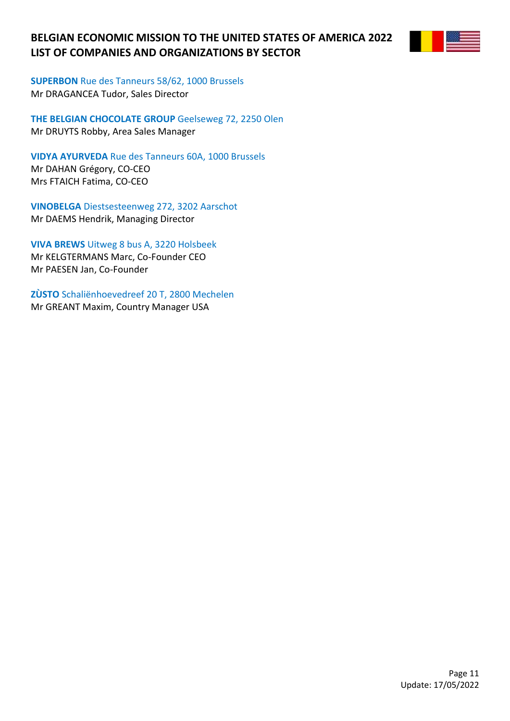

**SUPERBON** Rue des Tanneurs 58/62, 1000 Brussels Mr DRAGANCEA Tudor, Sales Director

**THE BELGIAN CHOCOLATE GROUP** Geelseweg 72, 2250 Olen Mr DRUYTS Robby, Area Sales Manager

**VIDYA AYURVEDA** Rue des Tanneurs 60A, 1000 Brussels Mr DAHAN Grégory, CO-CEO Mrs FTAICH Fatima, CO-CEO

**VINOBELGA** Diestsesteenweg 272, 3202 Aarschot Mr DAEMS Hendrik, Managing Director

**VIVA BREWS** Uitweg 8 bus A, 3220 Holsbeek Mr KELGTERMANS Marc, Co-Founder CEO Mr PAESEN Jan, Co-Founder

**ZÙSTO** Schaliënhoevedreef 20 T, 2800 Mechelen Mr GREANT Maxim, Country Manager USA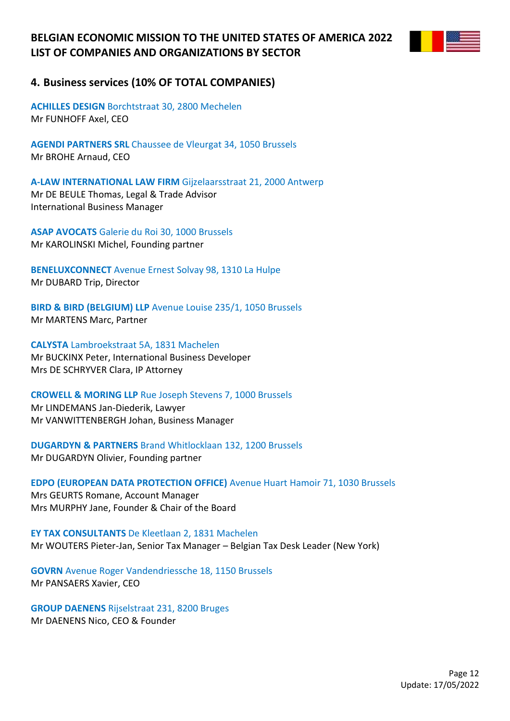

### **4. Business services (10% OF TOTAL COMPANIES)**

**ACHILLES DESIGN** Borchtstraat 30, 2800 Mechelen Mr FUNHOFF Axel, CEO

**AGENDI PARTNERS SRL** Chaussee de Vleurgat 34, 1050 Brussels Mr BROHE Arnaud, CEO

**A-LAW INTERNATIONAL LAW FIRM** Gijzelaarsstraat 21, 2000 Antwerp Mr DE BEULE Thomas, Legal & Trade Advisor International Business Manager

**ASAP AVOCATS** Galerie du Roi 30, 1000 Brussels Mr KAROLINSKI Michel, Founding partner

**BENELUXCONNECT** Avenue Ernest Solvay 98, 1310 La Hulpe Mr DUBARD Trip, Director

**BIRD & BIRD (BELGIUM) LLP** Avenue Louise 235/1, 1050 Brussels Mr MARTENS Marc, Partner

**CALYSTA** Lambroekstraat 5A, 1831 Machelen Mr BUCKINX Peter, International Business Developer Mrs DE SCHRYVER Clara, IP Attorney

**CROWELL & MORING LLP** Rue Joseph Stevens 7, 1000 Brussels Mr LINDEMANS Jan-Diederik, Lawyer

Mr VANWITTENBERGH Johan, Business Manager

**DUGARDYN & PARTNERS** Brand Whitlocklaan 132, 1200 Brussels Mr DUGARDYN Olivier, Founding partner

**EDPO (EUROPEAN DATA PROTECTION OFFICE)** Avenue Huart Hamoir 71, 1030 Brussels Mrs GEURTS Romane, Account Manager Mrs MURPHY Jane, Founder & Chair of the Board

**EY TAX CONSULTANTS** De Kleetlaan 2, 1831 Machelen Mr WOUTERS Pieter-Jan, Senior Tax Manager – Belgian Tax Desk Leader (New York)

**GOVRN** Avenue Roger Vandendriessche 18, 1150 Brussels Mr PANSAERS Xavier, CEO

**GROUP DAENENS** Rijselstraat 231, 8200 Bruges Mr DAENENS Nico, CEO & Founder

> Page 12 Update: 17/05/2022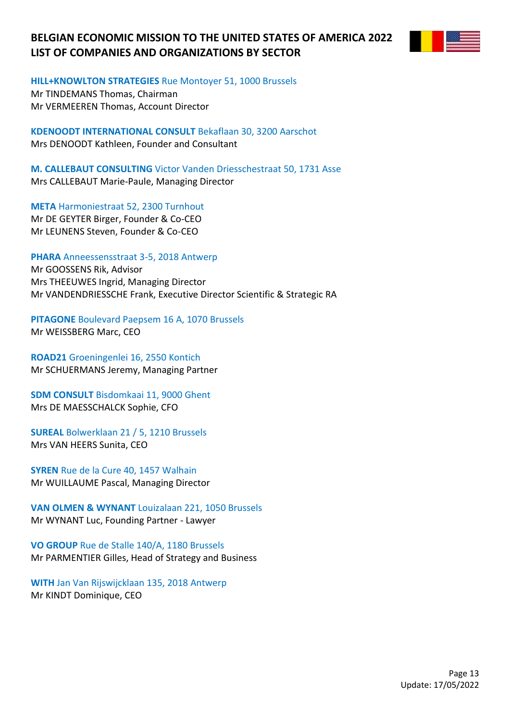

**HILL+KNOWLTON STRATEGIES** Rue Montoyer 51, 1000 Brussels

Mr TINDEMANS Thomas, Chairman Mr VERMEEREN Thomas, Account Director

**KDENOODT INTERNATIONAL CONSULT** Bekaflaan 30, 3200 Aarschot Mrs DENOODT Kathleen, Founder and Consultant

**M. CALLEBAUT CONSULTING** Victor Vanden Driesschestraat 50, 1731 Asse Mrs CALLEBAUT Marie-Paule, Managing Director

**META** Harmoniestraat 52, 2300 Turnhout Mr DE GEYTER Birger, Founder & Co-CEO Mr LEUNENS Steven, Founder & Co-CEO

**PHARA** Anneessensstraat 3-5, 2018 Antwerp

Mr GOOSSENS Rik, Advisor Mrs THEEUWES Ingrid, Managing Director Mr VANDENDRIESSCHE Frank, Executive Director Scientific & Strategic RA

**PITAGONE** Boulevard Paepsem 16 A, 1070 Brussels Mr WEISSBERG Marc, CEO

**ROAD21** Groeningenlei 16, 2550 Kontich Mr SCHUERMANS Jeremy, Managing Partner

**SDM CONSULT** Bisdomkaai 11, 9000 Ghent Mrs DE MAESSCHALCK Sophie, CFO

**SUREAL** Bolwerklaan 21 / 5, 1210 Brussels Mrs VAN HEERS Sunita, CEO

**SYREN** Rue de la Cure 40, 1457 Walhain Mr WUILLAUME Pascal, Managing Director

**VAN OLMEN & WYNANT** Louizalaan 221, 1050 Brussels Mr WYNANT Luc, Founding Partner - Lawyer

**VO GROUP** Rue de Stalle 140/A, 1180 Brussels Mr PARMENTIER Gilles, Head of Strategy and Business

**WITH** Jan Van Rijswijcklaan 135, 2018 Antwerp Mr KINDT Dominique, CEO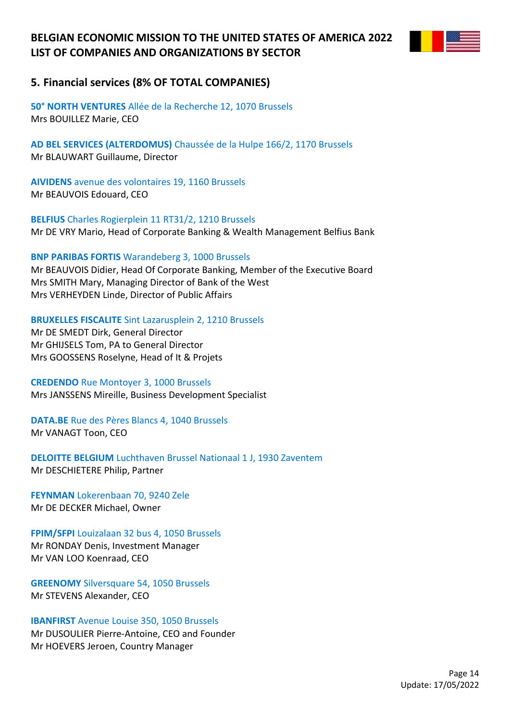

## **5. Financial services (8% OF TOTAL COMPANIES)**

**50° NORTH VENTURES** Allée de la Recherche 12, 1070 Brussels Mrs BOUILLEZ Marie, CEO

**AD BEL SERVICES (ALTERDOMUS)** Chaussée de la Hulpe 166/2, 1170 Brussels Mr BLAUWART Guillaume, Director

**AIVIDENS** avenue des volontaires 19, 1160 Brussels Mr BEAUVOIS Edouard, CEO

**BELFIUS** Charles Rogierplein 11 RT31/2, 1210 Brussels Mr DE VRY Mario, Head of Corporate Banking & Wealth Management Belfius Bank

**BNP PARIBAS FORTIS** Warandeberg 3, 1000 Brussels

Mr BEAUVOIS Didier, Head Of Corporate Banking, Member of the Executive Board Mrs SMITH Mary, Managing Director of Bank of the West Mrs VERHEYDEN Linde, Director of Public Affairs

**BRUXELLES FISCALITE** Sint Lazarusplein 2, 1210 Brussels

Mr DE SMEDT Dirk, General Director Mr GHIJSELS Tom, PA to General Director Mrs GOOSSENS Roselyne, Head of It & Projets

### **CREDENDO** Rue Montoyer 3, 1000 Brussels

Mrs JANSSENS Mireille, Business Development Specialist

**DATA.BE** Rue des Pères Blancs 4, 1040 Brussels Mr VANAGT Toon, CEO

**DELOITTE BELGIUM** Luchthaven Brussel Nationaal 1 J, 1930 Zaventem Mr DESCHIETERE Philip, Partner

**FEYNMAN** Lokerenbaan 70, 9240 Zele Mr DE DECKER Michael, Owner

**FPIM/SFPI** Louizalaan 32 bus 4, 1050 Brussels Mr RONDAY Denis, Investment Manager Mr VAN LOO Koenraad, CEO

**GREENOMY** Silversquare 54, 1050 Brussels Mr STEVENS Alexander, CEO

**IBANFIRST** Avenue Louise 350, 1050 Brussels Mr DUSOULIER Pierre-Antoine, CEO and Founder Mr HOEVERS Jeroen, Country Manager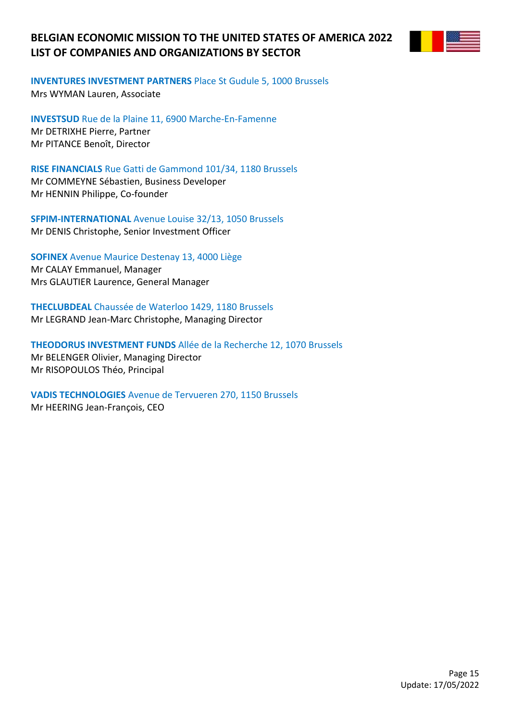

**INVENTURES INVESTMENT PARTNERS** Place St Gudule 5, 1000 Brussels

Mrs WYMAN Lauren, Associate

**INVESTSUD** Rue de la Plaine 11, 6900 Marche-En-Famenne Mr DETRIXHE Pierre, Partner Mr PITANCE Benoît, Director

**RISE FINANCIALS** Rue Gatti de Gammond 101/34, 1180 Brussels

Mr COMMEYNE Sébastien, Business Developer Mr HENNIN Philippe, Co-founder

**SFPIM-INTERNATIONAL** Avenue Louise 32/13, 1050 Brussels Mr DENIS Christophe, Senior Investment Officer

**SOFINEX** Avenue Maurice Destenay 13, 4000 Liège Mr CALAY Emmanuel, Manager Mrs GLAUTIER Laurence, General Manager

**THECLUBDEAL** Chaussée de Waterloo 1429, 1180 Brussels

Mr LEGRAND Jean-Marc Christophe, Managing Director

**THEODORUS INVESTMENT FUNDS** Allée de la Recherche 12, 1070 Brussels Mr BELENGER Olivier, Managing Director Mr RISOPOULOS Théo, Principal

**VADIS TECHNOLOGIES** Avenue de Tervueren 270, 1150 Brussels Mr HEERING Jean-François, CEO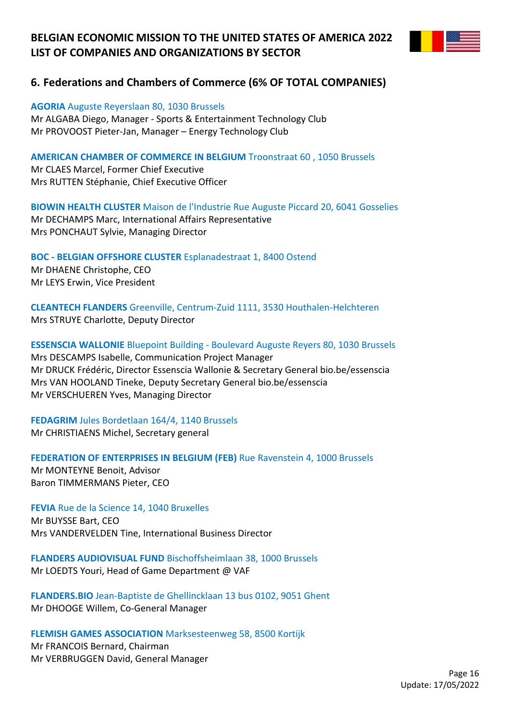

## **6. Federations and Chambers of Commerce (6% OF TOTAL COMPANIES)**

#### **AGORIA** Auguste Reyerslaan 80, 1030 Brussels

Mr ALGABA Diego, Manager - Sports & Entertainment Technology Club Mr PROVOOST Pieter-Jan, Manager – Energy Technology Club

### **AMERICAN CHAMBER OF COMMERCE IN BELGIUM** Troonstraat 60 , 1050 Brussels

Mr CLAES Marcel, Former Chief Executive Mrs RUTTEN Stéphanie, Chief Executive Officer

**BIOWIN HEALTH CLUSTER** Maison de l'Industrie Rue Auguste Piccard 20, 6041 Gosselies Mr DECHAMPS Marc, International Affairs Representative Mrs PONCHAUT Sylvie, Managing Director

**BOC - BELGIAN OFFSHORE CLUSTER** Esplanadestraat 1, 8400 Ostend Mr DHAENE Christophe, CEO Mr LEYS Erwin, Vice President

**CLEANTECH FLANDERS** Greenville, Centrum-Zuid 1111, 3530 Houthalen-Helchteren Mrs STRUYE Charlotte, Deputy Director

**ESSENSCIA WALLONIE** Bluepoint Building - Boulevard Auguste Reyers 80, 1030 Brussels Mrs DESCAMPS Isabelle, Communication Project Manager Mr DRUCK Frédéric, Director Essenscia Wallonie & Secretary General bio.be/essenscia Mrs VAN HOOLAND Tineke, Deputy Secretary General bio.be/essenscia Mr VERSCHUEREN Yves, Managing Director

**FEDAGRIM** Jules Bordetlaan 164/4, 1140 Brussels Mr CHRISTIAENS Michel, Secretary general

### **FEDERATION OF ENTERPRISES IN BELGIUM (FEB)** Rue Ravenstein 4, 1000 Brussels

Mr MONTEYNE Benoit, Advisor Baron TIMMERMANS Pieter, CEO

**FEVIA** Rue de la Science 14, 1040 Bruxelles Mr BUYSSE Bart, CEO Mrs VANDERVELDEN Tine, International Business Director

**FLANDERS AUDIOVISUAL FUND** Bischoffsheimlaan 38, 1000 Brussels Mr LOEDTS Youri, Head of Game Department @ VAF

**FLANDERS.BIO** Jean-Baptiste de Ghellincklaan 13 bus 0102, 9051 Ghent Mr DHOOGE Willem, Co-General Manager

#### **FLEMISH GAMES ASSOCIATION** Marksesteenweg 58, 8500 Kortijk

Mr FRANCOIS Bernard, Chairman Mr VERBRUGGEN David, General Manager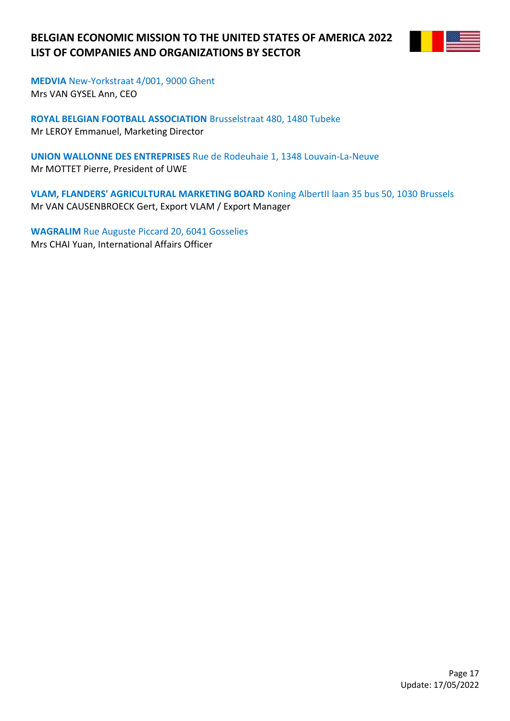

**MEDVIA** New-Yorkstraat 4/001, 9000 Ghent Mrs VAN GYSEL Ann, CEO

**ROYAL BELGIAN FOOTBALL ASSOCIATION** Brusselstraat 480, 1480 Tubeke Mr LEROY Emmanuel, Marketing Director

**UNION WALLONNE DES ENTREPRISES** Rue de Rodeuhaie 1, 1348 Louvain-La-Neuve Mr MOTTET Pierre, President of UWE

**VLAM, FLANDERS' AGRICULTURAL MARKETING BOARD** Koning AlbertII laan 35 bus 50, 1030 Brussels Mr VAN CAUSENBROECK Gert, Export VLAM / Export Manager

**WAGRALIM** Rue Auguste Piccard 20, 6041 Gosselies Mrs CHAI Yuan, International Affairs Officer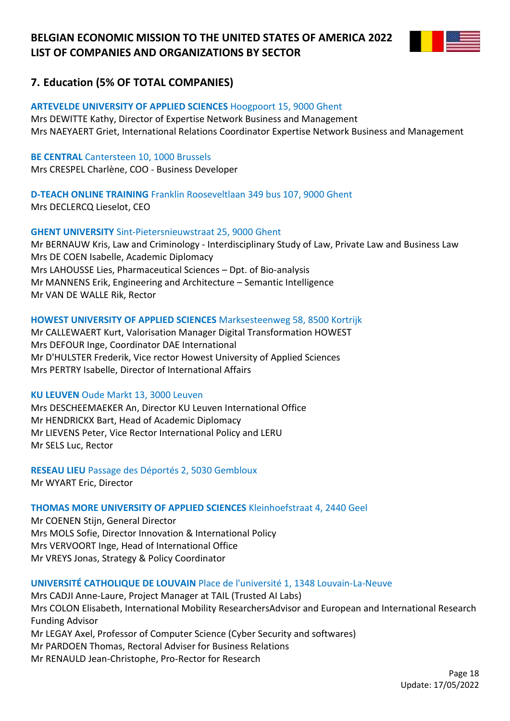

## **7. Education (5% OF TOTAL COMPANIES)**

### **ARTEVELDE UNIVERSITY OF APPLIED SCIENCES** Hoogpoort 15, 9000 Ghent

Mrs DEWITTE Kathy, Director of Expertise Network Business and Management Mrs NAEYAERT Griet, International Relations Coordinator Expertise Network Business and Management

### **BE CENTRAL** Cantersteen 10, 1000 Brussels

Mrs CRESPEL Charlène, COO - Business Developer

# **D-TEACH ONLINE TRAINING** Franklin Rooseveltlaan 349 bus 107, 9000 Ghent

Mrs DECLERCQ Lieselot, CEO

### **GHENT UNIVERSITY** Sint-Pietersnieuwstraat 25, 9000 Ghent

Mr BERNAUW Kris, Law and Criminology - Interdisciplinary Study of Law, Private Law and Business Law Mrs DE COEN Isabelle, Academic Diplomacy Mrs LAHOUSSE Lies, Pharmaceutical Sciences – Dpt. of Bio-analysis Mr MANNENS Erik, Engineering and Architecture – Semantic Intelligence Mr VAN DE WALLE Rik, Rector

### **HOWEST UNIVERSITY OF APPLIED SCIENCES** Marksesteenweg 58, 8500 Kortrijk

Mr CALLEWAERT Kurt, Valorisation Manager Digital Transformation HOWEST Mrs DEFOUR Inge, Coordinator DAE International Mr D'HULSTER Frederik, Vice rector Howest University of Applied Sciences Mrs PERTRY Isabelle, Director of International Affairs

### **KU LEUVEN** Oude Markt 13, 3000 Leuven

Mrs DESCHEEMAEKER An, Director KU Leuven International Office Mr HENDRICKX Bart, Head of Academic Diplomacy Mr LIEVENS Peter, Vice Rector International Policy and LERU Mr SELS Luc, Rector

**RESEAU LIEU** Passage des Déportés 2, 5030 Gembloux Mr WYART Eric, Director

### **THOMAS MORE UNIVERSITY OF APPLIED SCIENCES** Kleinhoefstraat 4, 2440 Geel

Mr COENEN Stijn, General Director Mrs MOLS Sofie, Director Innovation & International Policy Mrs VERVOORT Inge, Head of International Office Mr VREYS Jonas, Strategy & Policy Coordinator

### **UNIVERSITÉ CATHOLIQUE DE LOUVAIN** Place de l'université 1, 1348 Louvain-La-Neuve

Mrs CADJI Anne-Laure, Project Manager at TAIL (Trusted AI Labs) Mrs COLON Elisabeth, International Mobility ResearchersAdvisor and European and International Research Funding Advisor Mr LEGAY Axel, Professor of Computer Science (Cyber Security and softwares) Mr PARDOEN Thomas, Rectoral Adviser for Business Relations Mr RENAULD Jean-Christophe, Pro-Rector for Research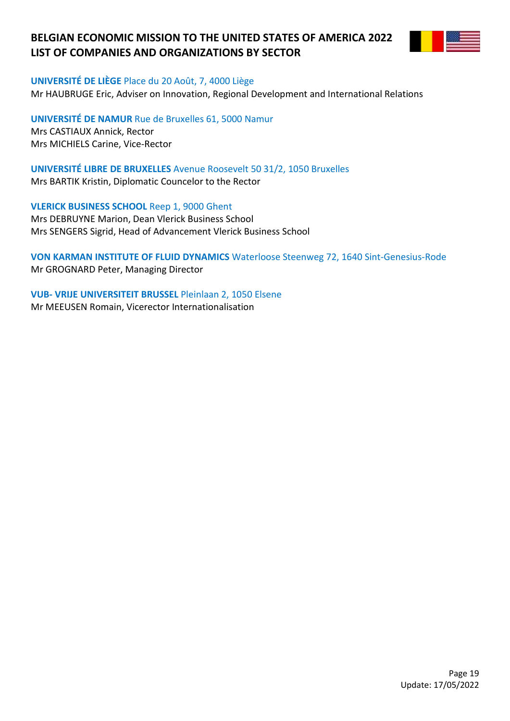

#### **UNIVERSITÉ DE LIÈGE** Place du 20 Août, 7, 4000 Liège

Mr HAUBRUGE Eric, Adviser on Innovation, Regional Development and International Relations

**UNIVERSITÉ DE NAMUR** Rue de Bruxelles 61, 5000 Namur Mrs CASTIAUX Annick, Rector Mrs MICHIELS Carine, Vice-Rector

**UNIVERSITÉ LIBRE DE BRUXELLES** Avenue Roosevelt 50 31/2, 1050 Bruxelles Mrs BARTIK Kristin, Diplomatic Councelor to the Rector

**VLERICK BUSINESS SCHOOL** Reep 1, 9000 Ghent Mrs DEBRUYNE Marion, Dean Vlerick Business School Mrs SENGERS Sigrid, Head of Advancement Vlerick Business School

**VON KARMAN INSTITUTE OF FLUID DYNAMICS** Waterloose Steenweg 72, 1640 Sint-Genesius-Rode Mr GROGNARD Peter, Managing Director

**VUB- VRIJE UNIVERSITEIT BRUSSEL** Pleinlaan 2, 1050 Elsene Mr MEEUSEN Romain, Vicerector Internationalisation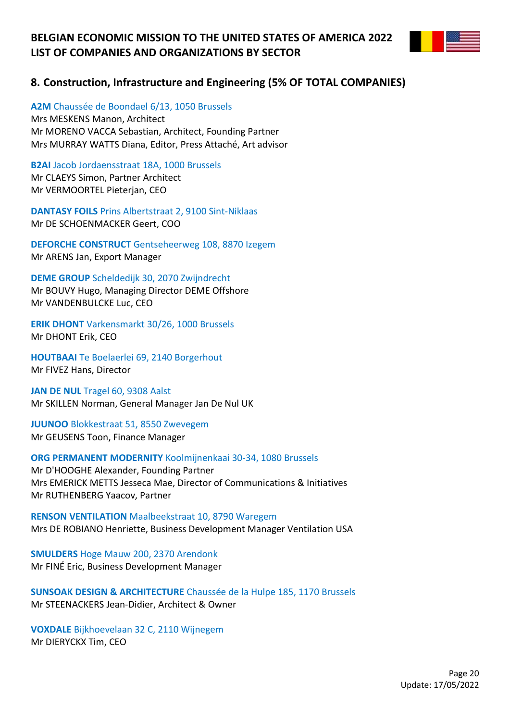

**A2M** Chaussée de Boondael 6/13, 1050 Brussels Mrs MESKENS Manon, Architect Mr MORENO VACCA Sebastian, Architect, Founding Partner Mrs MURRAY WATTS Diana, Editor, Press Attaché, Art advisor

**B2AI** Jacob Jordaensstraat 18A, 1000 Brussels Mr CLAEYS Simon, Partner Architect Mr VERMOORTEL Pieterjan, CEO

**DANTASY FOILS** Prins Albertstraat 2, 9100 Sint-Niklaas Mr DE SCHOENMACKER Geert, COO

**DEFORCHE CONSTRUCT** Gentseheerweg 108, 8870 Izegem Mr ARENS Jan, Export Manager

**DEME GROUP** Scheldedijk 30, 2070 Zwijndrecht Mr BOUVY Hugo, Managing Director DEME Offshore Mr VANDENBULCKE Luc, CEO

**ERIK DHONT** Varkensmarkt 30/26, 1000 Brussels Mr DHONT Erik, CEO

**HOUTBAAI** Te Boelaerlei 69, 2140 Borgerhout Mr FIVEZ Hans, Director

**JAN DE NUL** Tragel 60, 9308 Aalst Mr SKILLEN Norman, General Manager Jan De Nul UK

**JUUNOO** Blokkestraat 51, 8550 Zwevegem Mr GEUSENS Toon, Finance Manager

**ORG PERMANENT MODERNITY** Koolmijnenkaai 30-34, 1080 Brussels Mr D'HOOGHE Alexander, Founding Partner Mrs EMERICK METTS Jesseca Mae, Director of Communications & Initiatives Mr RUTHENBERG Yaacov, Partner

**RENSON VENTILATION** Maalbeekstraat 10, 8790 Waregem Mrs DE ROBIANO Henriette, Business Development Manager Ventilation USA

**SMULDERS** Hoge Mauw 200, 2370 Arendonk Mr FINÉ Eric, Business Development Manager

**SUNSOAK DESIGN & ARCHITECTURE** Chaussée de la Hulpe 185, 1170 Brussels Mr STEENACKERS Jean-Didier, Architect & Owner

**VOXDALE** Bijkhoevelaan 32 C, 2110 Wijnegem Mr DIERYCKX Tim, CEO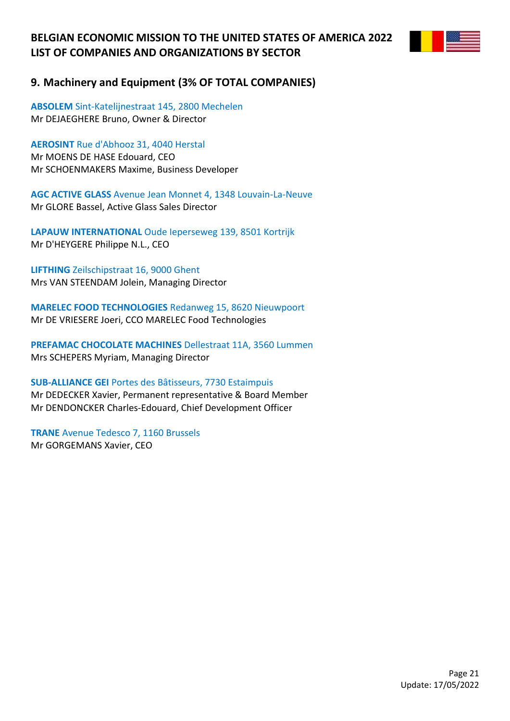

## **9. Machinery and Equipment (3% OF TOTAL COMPANIES)**

**ABSOLEM** Sint-Katelijnestraat 145, 2800 Mechelen Mr DEJAEGHERE Bruno, Owner & Director

**AEROSINT** Rue d'Abhooz 31, 4040 Herstal Mr MOENS DE HASE Edouard, CEO Mr SCHOENMAKERS Maxime, Business Developer

**AGC ACTIVE GLASS** Avenue Jean Monnet 4, 1348 Louvain-La-Neuve Mr GLORE Bassel, Active Glass Sales Director

**LAPAUW INTERNATIONAL** Oude Ieperseweg 139, 8501 Kortrijk Mr D'HEYGERE Philippe N.L., CEO

**LIFTHING** Zeilschipstraat 16, 9000 Ghent Mrs VAN STEENDAM Jolein, Managing Director

**MARELEC FOOD TECHNOLOGIES** Redanweg 15, 8620 Nieuwpoort Mr DE VRIESERE Joeri, CCO MARELEC Food Technologies

**PREFAMAC CHOCOLATE MACHINES** Dellestraat 11A, 3560 Lummen Mrs SCHEPERS Myriam, Managing Director

**SUB-ALLIANCE GEI** Portes des Bâtisseurs, 7730 Estaimpuis Mr DEDECKER Xavier, Permanent representative & Board Member Mr DENDONCKER Charles-Edouard, Chief Development Officer

**TRANE** Avenue Tedesco 7, 1160 Brussels Mr GORGEMANS Xavier, CEO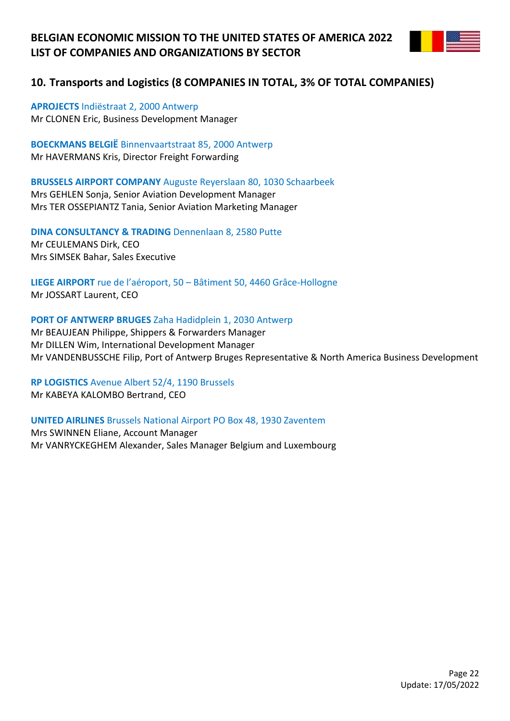

## **10. Transports and Logistics (8 COMPANIES IN TOTAL, 3% OF TOTAL COMPANIES)**

**APROJECTS** Indiëstraat 2, 2000 Antwerp Mr CLONEN Eric, Business Development Manager

**BOECKMANS BELGIË** Binnenvaartstraat 85, 2000 Antwerp Mr HAVERMANS Kris, Director Freight Forwarding

**BRUSSELS AIRPORT COMPANY** Auguste Reyerslaan 80, 1030 Schaarbeek

Mrs GEHLEN Sonja, Senior Aviation Development Manager Mrs TER OSSEPIANTZ Tania, Senior Aviation Marketing Manager

**DINA CONSULTANCY & TRADING** Dennenlaan 8, 2580 Putte Mr CEULEMANS Dirk, CEO Mrs SIMSEK Bahar, Sales Executive

**LIEGE AIRPORT** rue de l'aéroport, 50 – Bâtiment 50, 4460 Grâce-Hollogne Mr JOSSART Laurent, CEO

### **PORT OF ANTWERP BRUGES** Zaha Hadidplein 1, 2030 Antwerp

Mr BEAUJEAN Philippe, Shippers & Forwarders Manager Mr DILLEN Wim, International Development Manager Mr VANDENBUSSCHE Filip, Port of Antwerp Bruges Representative & North America Business Development

**RP LOGISTICS** Avenue Albert 52/4, 1190 Brussels Mr KABEYA KALOMBO Bertrand, CEO

**UNITED AIRLINES** Brussels National Airport PO Box 48, 1930 Zaventem

Mrs SWINNEN Eliane, Account Manager Mr VANRYCKEGHEM Alexander, Sales Manager Belgium and Luxembourg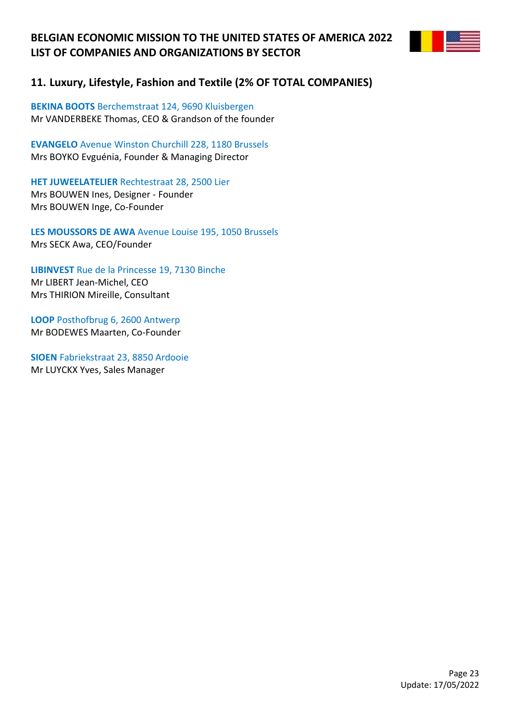

## **11. Luxury, Lifestyle, Fashion and Textile (2% OF TOTAL COMPANIES)**

**BEKINA BOOTS** Berchemstraat 124, 9690 Kluisbergen Mr VANDERBEKE Thomas, CEO & Grandson of the founder

**EVANGELO** Avenue Winston Churchill 228, 1180 Brussels Mrs BOYKO Evguénia, Founder & Managing Director

**HET JUWEELATELIER** Rechtestraat 28, 2500 Lier Mrs BOUWEN Ines, Designer - Founder Mrs BOUWEN Inge, Co-Founder

**LES MOUSSORS DE AWA** Avenue Louise 195, 1050 Brussels Mrs SECK Awa, CEO/Founder

**LIBINVEST** Rue de la Princesse 19, 7130 Binche Mr LIBERT Jean-Michel, CEO Mrs THIRION Mireille, Consultant

**LOOP** Posthofbrug 6, 2600 Antwerp Mr BODEWES Maarten, Co-Founder

**SIOEN** Fabriekstraat 23, 8850 Ardooie Mr LUYCKX Yves, Sales Manager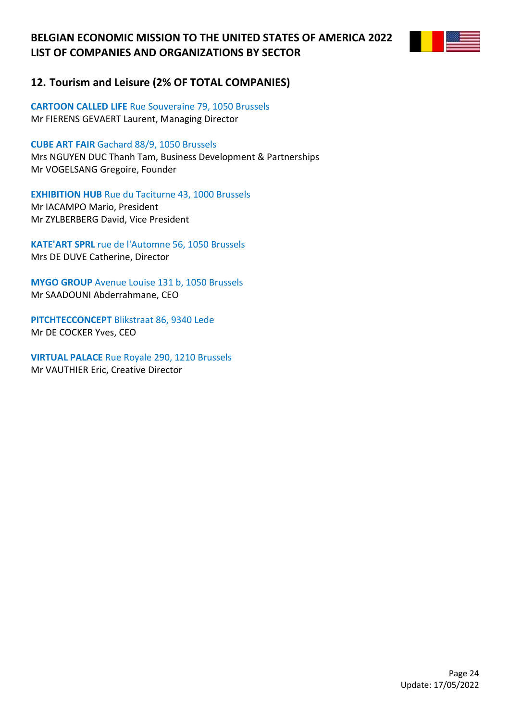

## **12. Tourism and Leisure (2% OF TOTAL COMPANIES)**

**CARTOON CALLED LIFE** Rue Souveraine 79, 1050 Brussels Mr FIERENS GEVAERT Laurent, Managing Director

**CUBE ART FAIR** Gachard 88/9, 1050 Brussels Mrs NGUYEN DUC Thanh Tam, Business Development & Partnerships

Mr VOGELSANG Gregoire, Founder

**EXHIBITION HUB** Rue du Taciturne 43, 1000 Brussels Mr IACAMPO Mario, President Mr ZYLBERBERG David, Vice President

**KATE'ART SPRL** rue de l'Automne 56, 1050 Brussels Mrs DE DUVE Catherine, Director

**MYGO GROUP** Avenue Louise 131 b, 1050 Brussels Mr SAADOUNI Abderrahmane, CEO

**PITCHTECCONCEPT** Blikstraat 86, 9340 Lede Mr DE COCKER Yves, CEO

**VIRTUAL PALACE** Rue Royale 290, 1210 Brussels Mr VAUTHIER Eric, Creative Director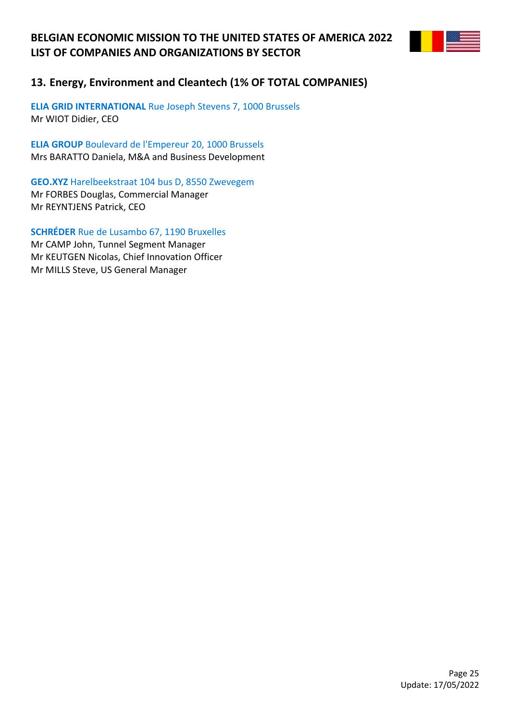

## **13. Energy, Environment and Cleantech (1% OF TOTAL COMPANIES)**

**ELIA GRID INTERNATIONAL** Rue Joseph Stevens 7, 1000 Brussels Mr WIOT Didier, CEO

**ELIA GROUP** Boulevard de l'Empereur 20, 1000 Brussels Mrs BARATTO Daniela, M&A and Business Development

**GEO.XYZ** Harelbeekstraat 104 bus D, 8550 Zwevegem Mr FORBES Douglas, Commercial Manager Mr REYNTJENS Patrick, CEO

**SCHRÉDER** Rue de Lusambo 67, 1190 Bruxelles Mr CAMP John, Tunnel Segment Manager Mr KEUTGEN Nicolas, Chief Innovation Officer Mr MILLS Steve, US General Manager